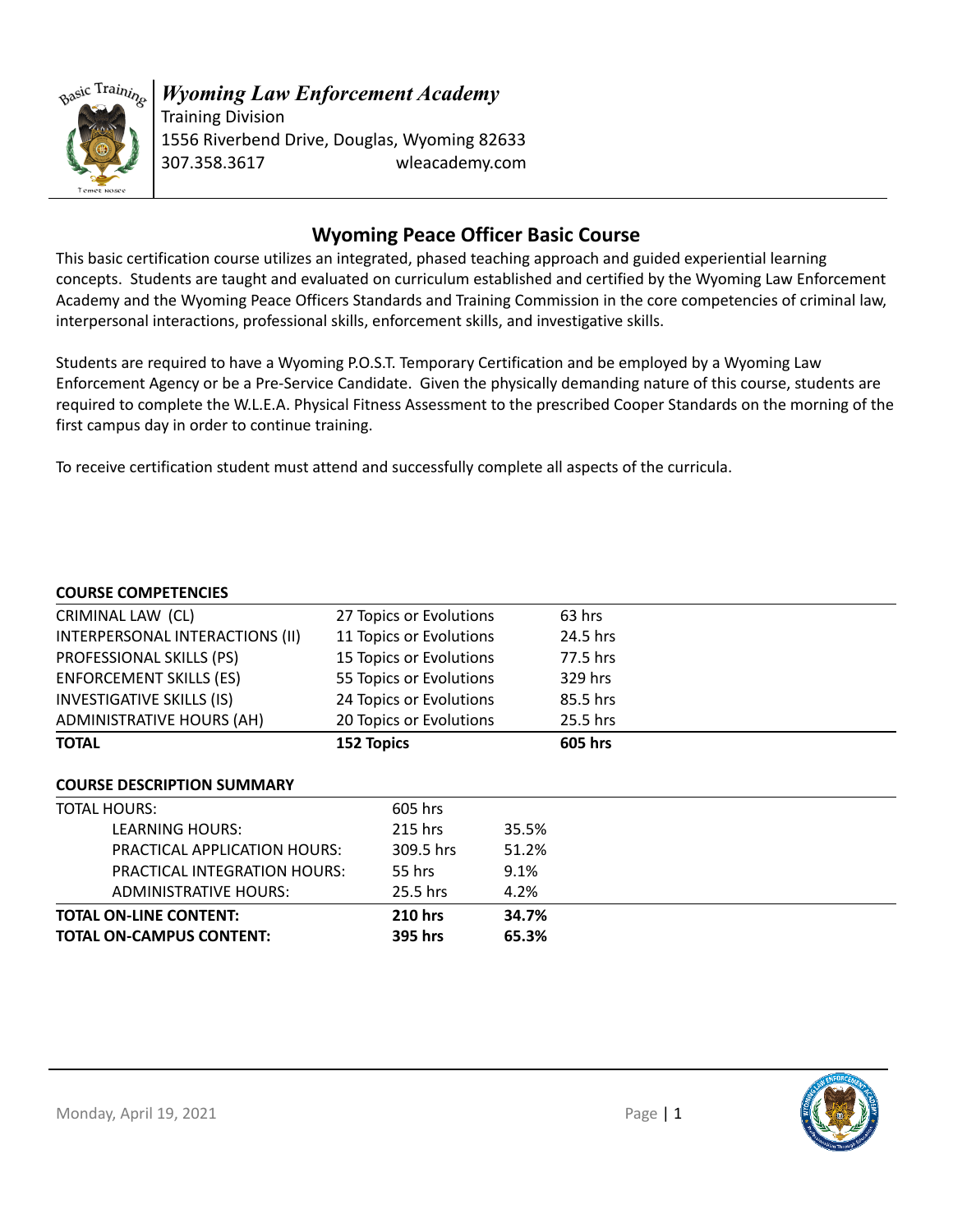

# *Wyoming Law Enforcement Academy* Training Division

1556 Riverbend Drive, Douglas, Wyoming 82633 307.358.3617 wleacademy.com

# **Wyoming Peace Officer Basic Course**

This basic certification course utilizes an integrated, phased teaching approach and guided experiential learning concepts. Students are taught and evaluated on curriculum established and certified by the Wyoming Law Enforcement Academy and the Wyoming Peace Officers Standards and Training Commission in the core competencies of criminal law, interpersonal interactions, professional skills, enforcement skills, and investigative skills.

Students are required to have a Wyoming P.O.S.T. Temporary Certification and be employed by a Wyoming Law Enforcement Agency or be a Pre-Service Candidate. Given the physically demanding nature of this course, students are required to complete the W.L.E.A. Physical Fitness Assessment to the prescribed Cooper Standards on the morning of the first campus day in order to continue training.

To receive certification student must attend and successfully complete all aspects of the curricula.

### **COURSE COMPETENCIES**

| CRIMINAL LAW (CL)                 | 27 Topics or Evolutions |       | 63 hrs   |  |
|-----------------------------------|-------------------------|-------|----------|--|
| INTERPERSONAL INTERACTIONS (II)   | 11 Topics or Evolutions |       | 24.5 hrs |  |
| PROFESSIONAL SKILLS (PS)          | 15 Topics or Evolutions |       | 77.5 hrs |  |
| <b>ENFORCEMENT SKILLS (ES)</b>    | 55 Topics or Evolutions |       | 329 hrs  |  |
| <b>INVESTIGATIVE SKILLS (IS)</b>  | 24 Topics or Evolutions |       | 85.5 hrs |  |
| <b>ADMINISTRATIVE HOURS (AH)</b>  | 20 Topics or Evolutions |       | 25.5 hrs |  |
| <b>TOTAL</b>                      | 152 Topics              |       | 605 hrs  |  |
| <b>COURSE DESCRIPTION SUMMARY</b> |                         |       |          |  |
| <b>TOTAL HOURS:</b>               | 605 hrs                 |       |          |  |
| LEARNING HOURS:                   | 215 hrs                 | 35.5% |          |  |
| PRACTICAL APPLICATION HOURS:      | 309.5 hrs               | 51.2% |          |  |
| PRACTICAL INTEGRATION HOURS:      | 55 hrs                  | 9.1%  |          |  |
| <b>ADMINISTRATIVE HOURS:</b>      | 25.5 hrs                | 4.2%  |          |  |
| <b>TOTAL ON-LINE CONTENT:</b>     | <b>210 hrs</b>          | 34.7% |          |  |
| <b>TOTAL ON-CAMPUS CONTENT:</b>   | 395 hrs                 | 65.3% |          |  |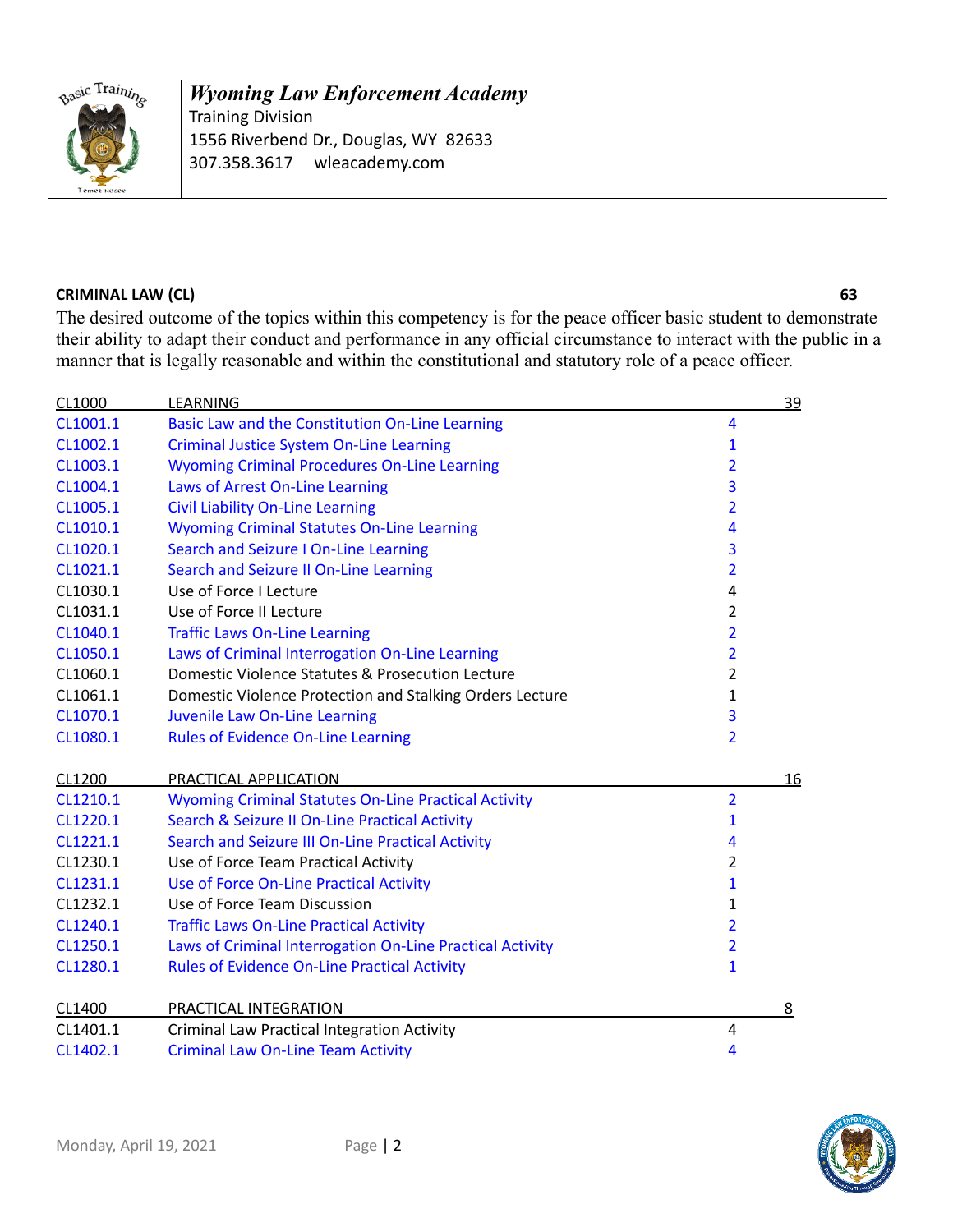

### *Wyoming Law Enforcement Academy* Training Division 1556 Riverbend Dr., Douglas, WY 82633 307.358.3617 wleacademy.com

### **CRIMINAL LAW (CL) 63**

The desired outcome of the topics within this competency is for the peace officer basic student to demonstrate their ability to adapt their conduct and performance in any official circumstance to interact with the public in a manner that is legally reasonable and within the constitutional and statutory role of a peace officer.

| CL1000   | <b>LEARNING</b>                                             |                | 39 |
|----------|-------------------------------------------------------------|----------------|----|
| CL1001.1 | Basic Law and the Constitution On-Line Learning             | 4              |    |
| CL1002.1 | <b>Criminal Justice System On-Line Learning</b>             | $\mathbf{1}$   |    |
| CL1003.1 | <b>Wyoming Criminal Procedures On-Line Learning</b>         | 2              |    |
| CL1004.1 | Laws of Arrest On-Line Learning                             | 3              |    |
| CL1005.1 | <b>Civil Liability On-Line Learning</b>                     | $\overline{2}$ |    |
| CL1010.1 | <b>Wyoming Criminal Statutes On-Line Learning</b>           | 4              |    |
| CL1020.1 | Search and Seizure I On-Line Learning                       | 3              |    |
| CL1021.1 | Search and Seizure II On-Line Learning                      | $\overline{2}$ |    |
| CL1030.1 | Use of Force I Lecture                                      | 4              |    |
| CL1031.1 | Use of Force II Lecture                                     | $\overline{2}$ |    |
| CL1040.1 | <b>Traffic Laws On-Line Learning</b>                        | $\overline{2}$ |    |
| CL1050.1 | Laws of Criminal Interrogation On-Line Learning             | $\overline{2}$ |    |
| CL1060.1 | Domestic Violence Statutes & Prosecution Lecture            | $\overline{2}$ |    |
| CL1061.1 | Domestic Violence Protection and Stalking Orders Lecture    | 1              |    |
| CL1070.1 | Juvenile Law On-Line Learning                               | 3              |    |
| CL1080.1 | <b>Rules of Evidence On-Line Learning</b>                   | $\overline{2}$ |    |
| CL1200   | PRACTICAL APPLICATION                                       |                | 16 |
| CL1210.1 | <b>Wyoming Criminal Statutes On-Line Practical Activity</b> | $\overline{2}$ |    |
| CL1220.1 | Search & Seizure II On-Line Practical Activity              | $\mathbf{1}$   |    |
| CL1221.1 | Search and Seizure III On-Line Practical Activity           | 4              |    |
| CL1230.1 | Use of Force Team Practical Activity                        | $\overline{2}$ |    |
| CL1231.1 | Use of Force On-Line Practical Activity                     | $\mathbf{1}$   |    |
| CL1232.1 | Use of Force Team Discussion                                | $\mathbf{1}$   |    |
| CL1240.1 | <b>Traffic Laws On-Line Practical Activity</b>              | $\overline{2}$ |    |
| CL1250.1 | Laws of Criminal Interrogation On-Line Practical Activity   | $\overline{2}$ |    |
| CL1280.1 | <b>Rules of Evidence On-Line Practical Activity</b>         | $\mathbf{1}$   |    |
| CL1400   | PRACTICAL INTEGRATION                                       |                | 8  |
| CL1401.1 | <b>Criminal Law Practical Integration Activity</b>          | 4              |    |
| CL1402.1 | <b>Criminal Law On-Line Team Activity</b>                   | 4              |    |

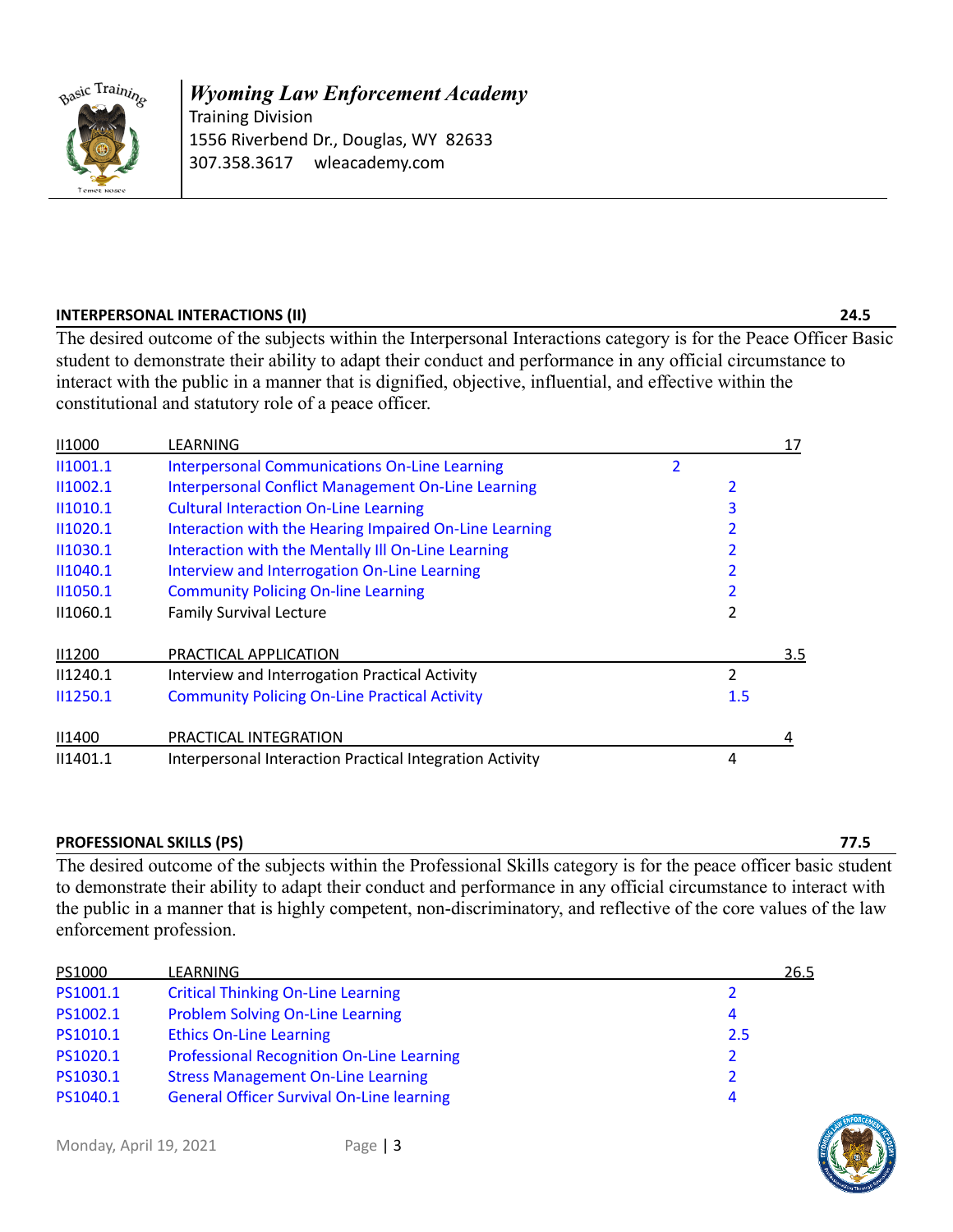

*Wyoming Law Enforcement Academy* Training Division 1556 Riverbend Dr., Douglas, WY 82633 307.358.3617 wleacademy.com

### **INTERPERSONAL INTERACTIONS (II) 24.5**

The desired outcome of the subjects within the Interpersonal Interactions category is for the Peace Officer Basic student to demonstrate their ability to adapt their conduct and performance in any official circumstance to interact with the public in a manner that is dignified, objective, influential, and effective within the constitutional and statutory role of a peace officer.

| <b>II1000</b> | LEARNING                                                 |   |                | 17  |
|---------------|----------------------------------------------------------|---|----------------|-----|
| II1001.1      | <b>Interpersonal Communications On-Line Learning</b>     | 2 |                |     |
| II1002.1      | Interpersonal Conflict Management On-Line Learning       |   | 2              |     |
| II1010.1      | <b>Cultural Interaction On-Line Learning</b>             |   | 3              |     |
| II1020.1      | Interaction with the Hearing Impaired On-Line Learning   |   |                |     |
| 11030.1       | Interaction with the Mentally III On-Line Learning       |   |                |     |
| II1040.1      | Interview and Interrogation On-Line Learning             |   |                |     |
| 11050.1       | <b>Community Policing On-line Learning</b>               |   |                |     |
| 11060.1       | <b>Family Survival Lecture</b>                           |   |                |     |
| <b>II1200</b> | PRACTICAL APPLICATION                                    |   |                | 3.5 |
| II1240.1      | Interview and Interrogation Practical Activity           |   | $\overline{2}$ |     |
| 11250.1       | <b>Community Policing On-Line Practical Activity</b>     |   | 1.5            |     |
| <b>II1400</b> | PRACTICAL INTEGRATION                                    |   |                | 4   |
| II1401.1      | Interpersonal Interaction Practical Integration Activity |   | 4              |     |

### **PROFESSIONAL SKILLS (PS) 77.5**

The desired outcome of the subjects within the Professional Skills category is for the peace officer basic student to demonstrate their ability to adapt their conduct and performance in any official circumstance to interact with the public in a manner that is highly competent, non-discriminatory, and reflective of the core values of the law enforcement profession.

| PS1000   | LEARNING                                         | 26.5           |
|----------|--------------------------------------------------|----------------|
| PS1001.1 | <b>Critical Thinking On-Line Learning</b>        | 2              |
| PS1002.1 | Problem Solving On-Line Learning                 | 4              |
| PS1010.1 | <b>Ethics On-Line Learning</b>                   | 2.5            |
| PS1020.1 | <b>Professional Recognition On-Line Learning</b> | $\overline{2}$ |
| PS1030.1 | <b>Stress Management On-Line Learning</b>        | 2              |
| PS1040.1 | <b>General Officer Survival On-Line learning</b> | 4              |

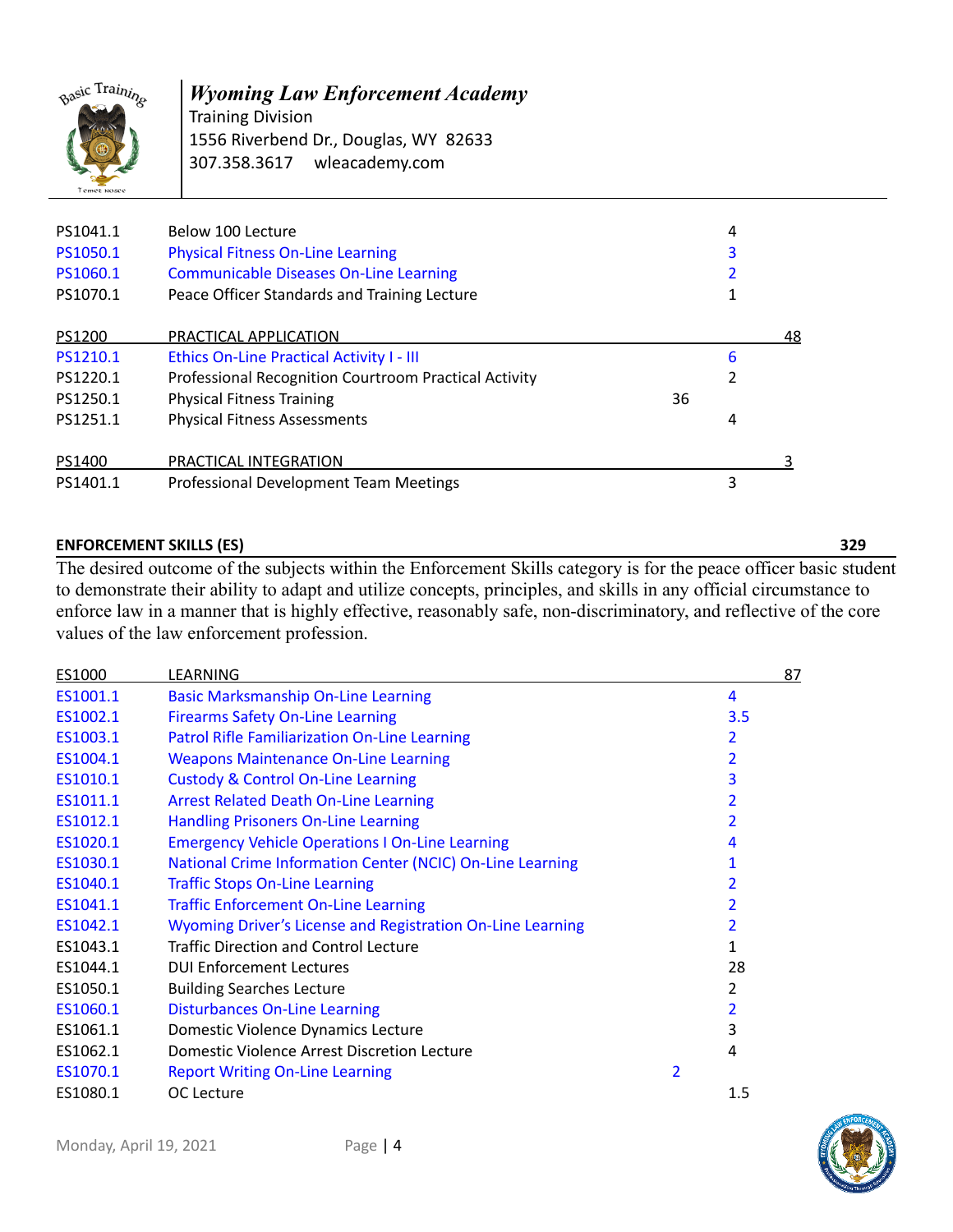

Training Division 1556 Riverbend Dr., Douglas, WY 82633 307.358.3617 wleacademy.com

| PS1041.1<br>PS1050.1<br>PS1060.1<br>PS1070.1 | Below 100 Lecture<br><b>Physical Fitness On-Line Learning</b><br><b>Communicable Diseases On-Line Learning</b><br>Peace Officer Standards and Training Lecture |    | 4<br>3 |    |
|----------------------------------------------|----------------------------------------------------------------------------------------------------------------------------------------------------------------|----|--------|----|
| PS1200                                       | PRACTICAL APPLICATION                                                                                                                                          |    |        | 48 |
| PS1210.1                                     | Ethics On-Line Practical Activity I - III                                                                                                                      |    | 6      |    |
| PS1220.1                                     | Professional Recognition Courtroom Practical Activity                                                                                                          |    |        |    |
| PS1250.1                                     | <b>Physical Fitness Training</b>                                                                                                                               | 36 |        |    |
| PS1251.1                                     | <b>Physical Fitness Assessments</b>                                                                                                                            |    | 4      |    |
| PS1400                                       | PRACTICAL INTEGRATION                                                                                                                                          |    |        |    |
| PS1401.1                                     | Professional Development Team Meetings                                                                                                                         |    | 3      |    |

### **ENFORCEMENT SKILLS (ES) 329**

The desired outcome of the subjects within the Enforcement Skills category is for the peace officer basic student to demonstrate their ability to adapt and utilize concepts, principles, and skills in any official circumstance to enforce law in a manner that is highly effective, reasonably safe, non-discriminatory, and reflective of the core values of the law enforcement profession.

| ES1000   | LEARNING                                                   |   | <u>87</u>      |
|----------|------------------------------------------------------------|---|----------------|
| ES1001.1 | <b>Basic Marksmanship On-Line Learning</b>                 |   | 4              |
| ES1002.1 | <b>Firearms Safety On-Line Learning</b>                    |   | 3.5            |
| ES1003.1 | Patrol Rifle Familiarization On-Line Learning              |   | 2              |
| ES1004.1 | <b>Weapons Maintenance On-Line Learning</b>                |   | 2              |
| ES1010.1 | <b>Custody &amp; Control On-Line Learning</b>              |   | 3              |
| ES1011.1 | <b>Arrest Related Death On-Line Learning</b>               |   |                |
| ES1012.1 | <b>Handling Prisoners On-Line Learning</b>                 |   |                |
| ES1020.1 | <b>Emergency Vehicle Operations I On-Line Learning</b>     |   | 4              |
| ES1030.1 | National Crime Information Center (NCIC) On-Line Learning  |   | 1              |
| ES1040.1 | <b>Traffic Stops On-Line Learning</b>                      |   |                |
| ES1041.1 | <b>Traffic Enforcement On-Line Learning</b>                |   | 2              |
| ES1042.1 | Wyoming Driver's License and Registration On-Line Learning |   | 2              |
| ES1043.1 | <b>Traffic Direction and Control Lecture</b>               |   | 1              |
| ES1044.1 | <b>DUI Enforcement Lectures</b>                            |   | 28             |
| ES1050.1 | <b>Building Searches Lecture</b>                           |   | $\overline{2}$ |
| ES1060.1 | <b>Disturbances On-Line Learning</b>                       |   | 2              |
| ES1061.1 | Domestic Violence Dynamics Lecture                         |   | 3              |
| ES1062.1 | Domestic Violence Arrest Discretion Lecture                |   | 4              |
| ES1070.1 | <b>Report Writing On-Line Learning</b>                     | 2 |                |
| ES1080.1 | OC Lecture                                                 |   | 1.5            |

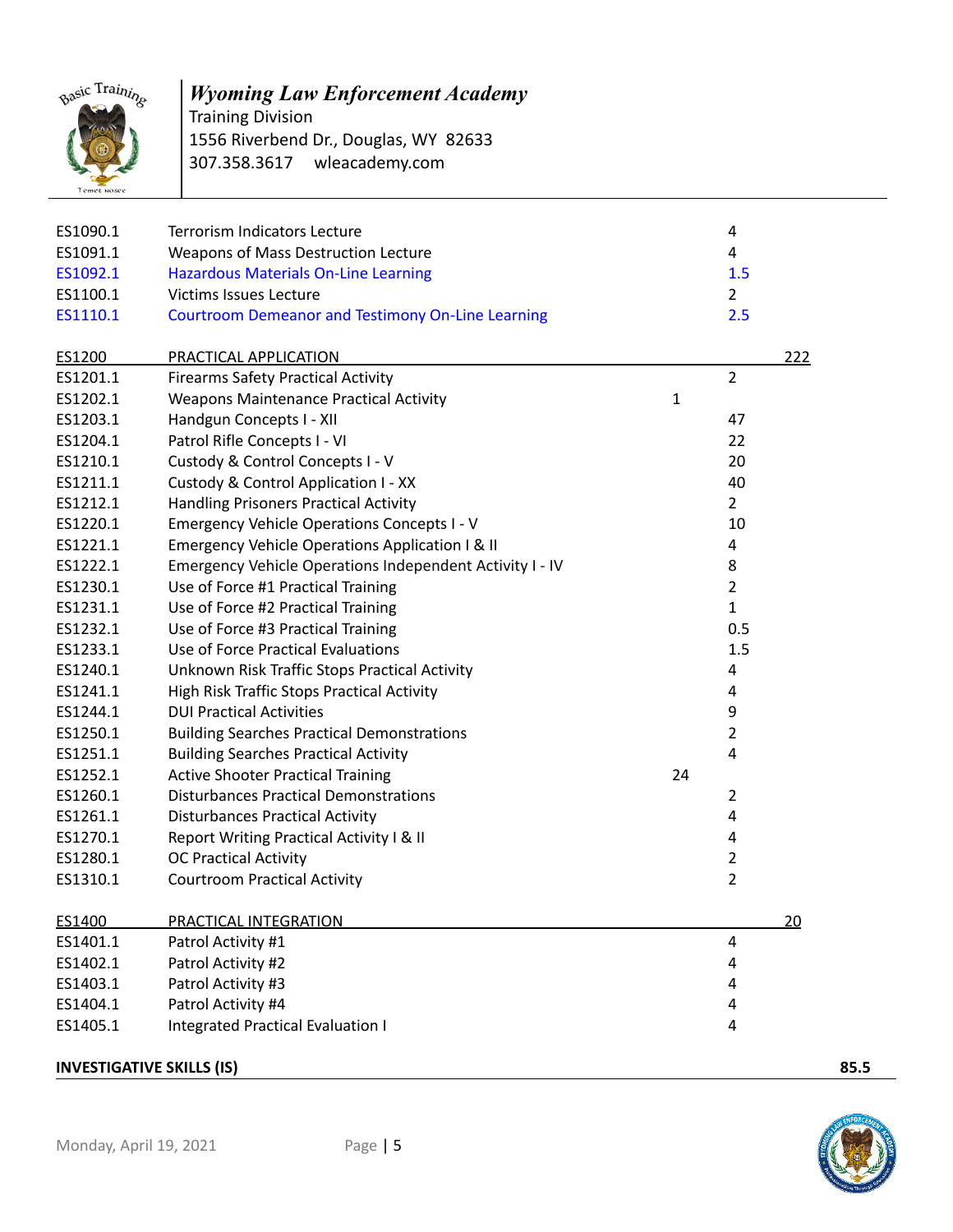

Training Division 1556 Riverbend Dr., Douglas, WY 82633 307.358.3617 wleacademy.com

| ES1090.1                         | <b>Terrorism Indicators Lecture</b>                      |    | $\overline{a}$ |      |
|----------------------------------|----------------------------------------------------------|----|----------------|------|
| ES1091.1                         | Weapons of Mass Destruction Lecture                      |    | 4              |      |
| ES1092.1                         | <b>Hazardous Materials On-Line Learning</b>              |    | 1.5            |      |
| ES1100.1                         | <b>Victims Issues Lecture</b>                            |    | $\overline{2}$ |      |
| ES1110.1                         | <b>Courtroom Demeanor and Testimony On-Line Learning</b> |    | 2.5            |      |
| ES1200                           | PRACTICAL APPLICATION                                    |    |                | 222  |
| ES1201.1                         | <b>Firearms Safety Practical Activity</b>                |    | $\overline{2}$ |      |
| ES1202.1                         | <b>Weapons Maintenance Practical Activity</b>            | 1  |                |      |
| ES1203.1                         | Handgun Concepts I - XII                                 |    | 47             |      |
| ES1204.1                         | Patrol Rifle Concepts I - VI                             |    | 22             |      |
| ES1210.1                         | Custody & Control Concepts I - V                         |    | 20             |      |
| ES1211.1                         | Custody & Control Application I - XX                     |    | 40             |      |
| ES1212.1                         | <b>Handling Prisoners Practical Activity</b>             |    | $\overline{2}$ |      |
| ES1220.1                         | <b>Emergency Vehicle Operations Concepts I - V</b>       |    | 10             |      |
| ES1221.1                         | Emergency Vehicle Operations Application I & II          |    | $\overline{a}$ |      |
| ES1222.1                         | Emergency Vehicle Operations Independent Activity I - IV |    | 8              |      |
| ES1230.1                         | Use of Force #1 Practical Training                       |    | $\overline{2}$ |      |
| ES1231.1                         | Use of Force #2 Practical Training                       |    | $\mathbf{1}$   |      |
| ES1232.1                         | Use of Force #3 Practical Training                       |    | 0.5            |      |
| ES1233.1                         | Use of Force Practical Evaluations                       |    | 1.5            |      |
| ES1240.1                         | Unknown Risk Traffic Stops Practical Activity            |    | 4              |      |
| ES1241.1                         | High Risk Traffic Stops Practical Activity               |    | 4              |      |
| ES1244.1                         | <b>DUI Practical Activities</b>                          |    | 9              |      |
| ES1250.1                         | <b>Building Searches Practical Demonstrations</b>        |    | $\overline{2}$ |      |
| ES1251.1                         | <b>Building Searches Practical Activity</b>              |    | 4              |      |
| ES1252.1                         | <b>Active Shooter Practical Training</b>                 | 24 |                |      |
| ES1260.1                         | <b>Disturbances Practical Demonstrations</b>             |    | 2              |      |
| ES1261.1                         | <b>Disturbances Practical Activity</b>                   |    | 4              |      |
| ES1270.1                         | Report Writing Practical Activity I & II                 |    | 4              |      |
| ES1280.1                         | <b>OC Practical Activity</b>                             |    | $\overline{2}$ |      |
| ES1310.1                         | <b>Courtroom Practical Activity</b>                      |    | $\overline{2}$ |      |
|                                  |                                                          |    |                |      |
| ES1400                           | PRACTICAL INTEGRATION                                    |    |                | 20   |
| ES1401.1                         | Patrol Activity #1                                       |    | 4              |      |
| ES1402.1                         | Patrol Activity #2                                       |    | 4              |      |
| ES1403.1                         | Patrol Activity #3                                       |    | 4              |      |
| ES1404.1                         | Patrol Activity #4                                       |    | 4              |      |
| ES1405.1                         | <b>Integrated Practical Evaluation I</b>                 |    | 4              |      |
| <b>INVESTIGATIVE SKILLS (IS)</b> |                                                          |    |                | 85.5 |

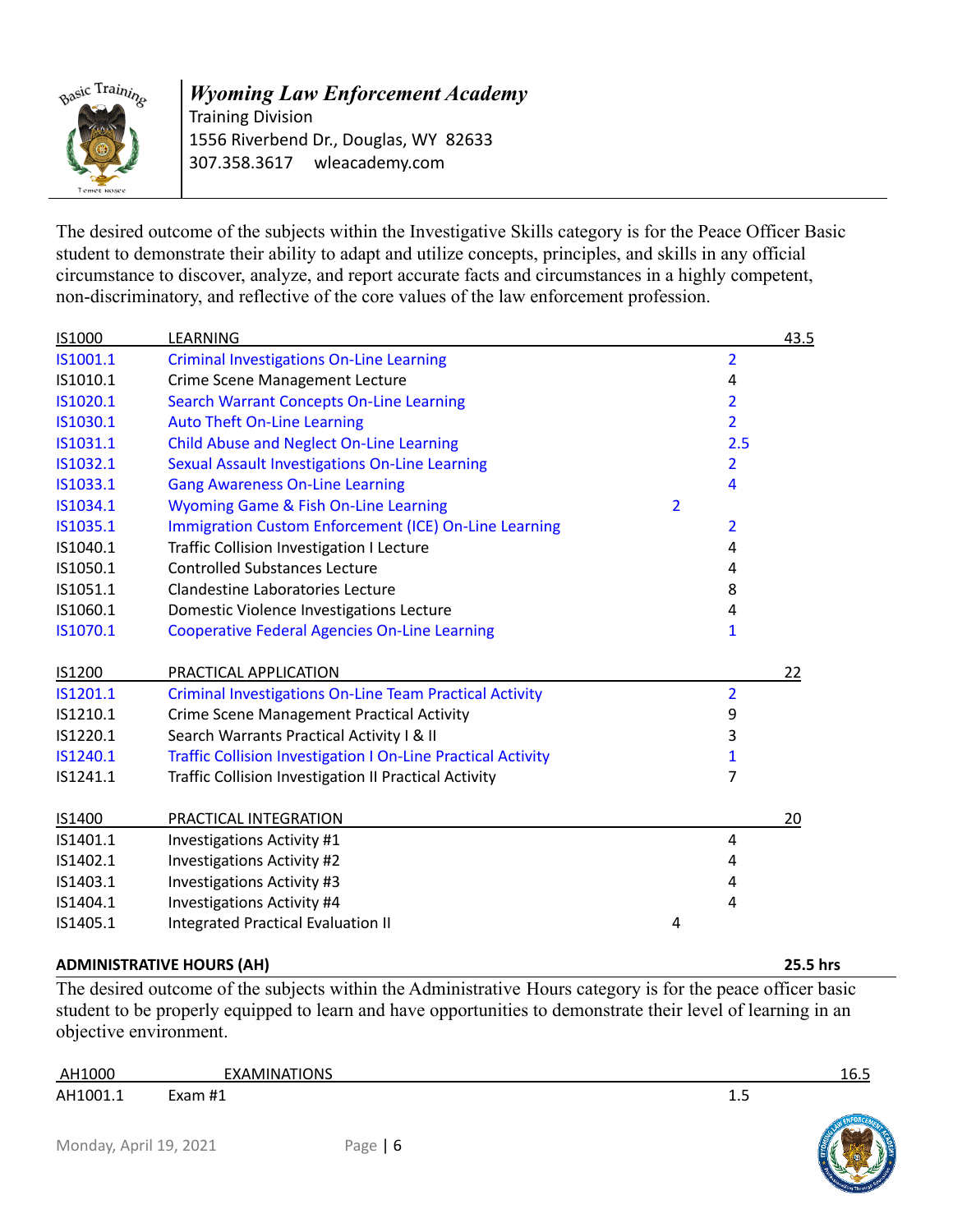

Training Division 1556 Riverbend Dr., Douglas, WY 82633 307.358.3617 wleacademy.com

The desired outcome of the subjects within the Investigative Skills category is for the Peace Officer Basic student to demonstrate their ability to adapt and utilize concepts, principles, and skills in any official circumstance to discover, analyze, and report accurate facts and circumstances in a highly competent, non-discriminatory, and reflective of the core values of the law enforcement profession.

| IS1000   | LEARNING                                                            |                |                | 43.5 |
|----------|---------------------------------------------------------------------|----------------|----------------|------|
| IS1001.1 | <b>Criminal Investigations On-Line Learning</b>                     |                | $\overline{2}$ |      |
| IS1010.1 | <b>Crime Scene Management Lecture</b>                               |                | 4              |      |
| IS1020.1 | <b>Search Warrant Concepts On-Line Learning</b>                     |                | $\overline{2}$ |      |
| IS1030.1 | <b>Auto Theft On-Line Learning</b>                                  |                | $\overline{2}$ |      |
| IS1031.1 | <b>Child Abuse and Neglect On-Line Learning</b>                     |                | 2.5            |      |
| IS1032.1 | Sexual Assault Investigations On-Line Learning                      |                | $\overline{2}$ |      |
| IS1033.1 | <b>Gang Awareness On-Line Learning</b>                              |                | 4              |      |
| IS1034.1 | Wyoming Game & Fish On-Line Learning                                | $\overline{2}$ |                |      |
| IS1035.1 | Immigration Custom Enforcement (ICE) On-Line Learning               |                | 2              |      |
| IS1040.1 | <b>Traffic Collision Investigation I Lecture</b>                    |                | 4              |      |
| IS1050.1 | <b>Controlled Substances Lecture</b>                                |                | 4              |      |
| IS1051.1 | Clandestine Laboratories Lecture                                    |                | 8              |      |
| IS1060.1 | Domestic Violence Investigations Lecture                            |                | 4              |      |
| IS1070.1 | <b>Cooperative Federal Agencies On-Line Learning</b>                |                | $\mathbf{1}$   |      |
|          |                                                                     |                |                |      |
| IS1200   | PRACTICAL APPLICATION                                               |                |                | 22   |
| IS1201.1 | <b>Criminal Investigations On-Line Team Practical Activity</b>      |                | $\overline{2}$ |      |
| IS1210.1 | <b>Crime Scene Management Practical Activity</b>                    |                | 9              |      |
| IS1220.1 | Search Warrants Practical Activity I & II                           |                | 3              |      |
| IS1240.1 | <b>Traffic Collision Investigation I On-Line Practical Activity</b> |                | $\mathbf{1}$   |      |
| IS1241.1 | Traffic Collision Investigation II Practical Activity               |                | $\overline{7}$ |      |
|          |                                                                     |                |                |      |
| IS1400   | PRACTICAL INTEGRATION                                               |                |                | 20   |
| IS1401.1 | <b>Investigations Activity #1</b>                                   |                | 4              |      |
| IS1402.1 | Investigations Activity #2                                          |                | 4              |      |
| IS1403.1 | Investigations Activity #3                                          |                | 4              |      |
| IS1404.1 | Investigations Activity #4                                          |                | 4              |      |
| IS1405.1 | <b>Integrated Practical Evaluation II</b>                           | 4              |                |      |

### **ADMINISTRATIVE HOURS (AH) 25.5 hrs**

The desired outcome of the subjects within the Administrative Hours category is for the peace officer basic student to be properly equipped to learn and have opportunities to demonstrate their level of learning in an objective environment.

| AH1000                                    | IATIONS<br>. A MIN AT |               | . .<br>10.J |
|-------------------------------------------|-----------------------|---------------|-------------|
| AH1001<br>the contract of the contract of | - 11.4<br>Lyon-       | ∸.J<br>$\sim$ |             |